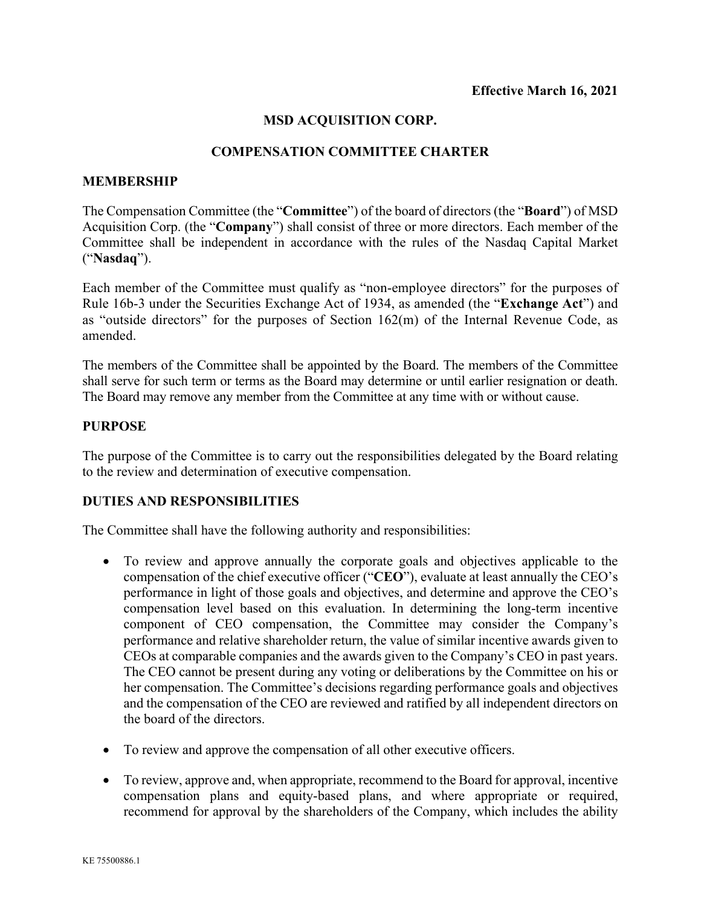## **MSD ACQUISITION CORP.**

### **COMPENSATION COMMITTEE CHARTER**

#### **MEMBERSHIP**

The Compensation Committee (the "**Committee**") of the board of directors (the "**Board**") of MSD Acquisition Corp. (the "**Company**") shall consist of three or more directors. Each member of the Committee shall be independent in accordance with the rules of the Nasdaq Capital Market ("**Nasdaq**").

Each member of the Committee must qualify as "non-employee directors" for the purposes of Rule 16b-3 under the Securities Exchange Act of 1934, as amended (the "**Exchange Act**") and as "outside directors" for the purposes of Section 162(m) of the Internal Revenue Code, as amended.

The members of the Committee shall be appointed by the Board. The members of the Committee shall serve for such term or terms as the Board may determine or until earlier resignation or death. The Board may remove any member from the Committee at any time with or without cause.

### **PURPOSE**

The purpose of the Committee is to carry out the responsibilities delegated by the Board relating to the review and determination of executive compensation.

## **DUTIES AND RESPONSIBILITIES**

The Committee shall have the following authority and responsibilities:

- To review and approve annually the corporate goals and objectives applicable to the compensation of the chief executive officer ("**CEO**"), evaluate at least annually the CEO's performance in light of those goals and objectives, and determine and approve the CEO's compensation level based on this evaluation. In determining the long-term incentive component of CEO compensation, the Committee may consider the Company's performance and relative shareholder return, the value of similar incentive awards given to CEOs at comparable companies and the awards given to the Company's CEO in past years. The CEO cannot be present during any voting or deliberations by the Committee on his or her compensation. The Committee's decisions regarding performance goals and objectives and the compensation of the CEO are reviewed and ratified by all independent directors on the board of the directors.
- To review and approve the compensation of all other executive officers.
- To review, approve and, when appropriate, recommend to the Board for approval, incentive compensation plans and equity-based plans, and where appropriate or required, recommend for approval by the shareholders of the Company, which includes the ability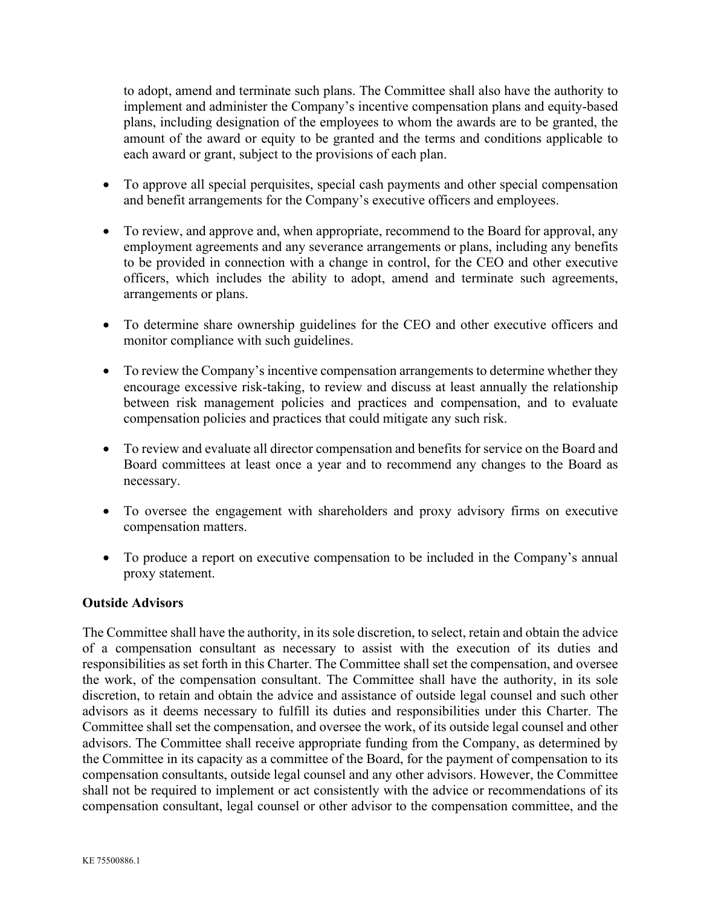to adopt, amend and terminate such plans. The Committee shall also have the authority to implement and administer the Company's incentive compensation plans and equity-based plans, including designation of the employees to whom the awards are to be granted, the amount of the award or equity to be granted and the terms and conditions applicable to each award or grant, subject to the provisions of each plan.

- To approve all special perquisites, special cash payments and other special compensation and benefit arrangements for the Company's executive officers and employees.
- To review, and approve and, when appropriate, recommend to the Board for approval, any employment agreements and any severance arrangements or plans, including any benefits to be provided in connection with a change in control, for the CEO and other executive officers, which includes the ability to adopt, amend and terminate such agreements, arrangements or plans.
- To determine share ownership guidelines for the CEO and other executive officers and monitor compliance with such guidelines.
- To review the Company's incentive compensation arrangements to determine whether they encourage excessive risk-taking, to review and discuss at least annually the relationship between risk management policies and practices and compensation, and to evaluate compensation policies and practices that could mitigate any such risk.
- To review and evaluate all director compensation and benefits for service on the Board and Board committees at least once a year and to recommend any changes to the Board as necessary.
- To oversee the engagement with shareholders and proxy advisory firms on executive compensation matters.
- To produce a report on executive compensation to be included in the Company's annual proxy statement.

# **Outside Advisors**

The Committee shall have the authority, in its sole discretion, to select, retain and obtain the advice of a compensation consultant as necessary to assist with the execution of its duties and responsibilities as set forth in this Charter. The Committee shall set the compensation, and oversee the work, of the compensation consultant. The Committee shall have the authority, in its sole discretion, to retain and obtain the advice and assistance of outside legal counsel and such other advisors as it deems necessary to fulfill its duties and responsibilities under this Charter. The Committee shall set the compensation, and oversee the work, of its outside legal counsel and other advisors. The Committee shall receive appropriate funding from the Company, as determined by the Committee in its capacity as a committee of the Board, for the payment of compensation to its compensation consultants, outside legal counsel and any other advisors. However, the Committee shall not be required to implement or act consistently with the advice or recommendations of its compensation consultant, legal counsel or other advisor to the compensation committee, and the